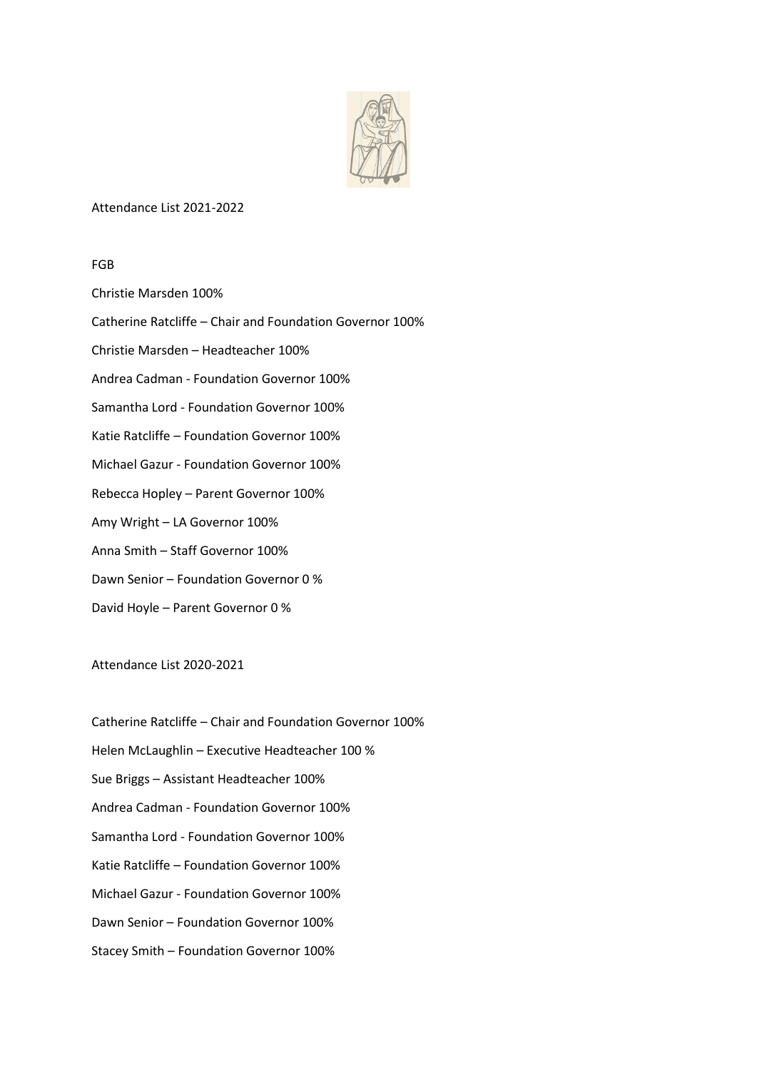

## Attendance List 2021-2022

FGB

Christie Marsden 100% Catherine Ratcliffe – Chair and Foundation Governor 100% Christie Marsden – Headteacher 100% Andrea Cadman - Foundation Governor 100% Samantha Lord - Foundation Governor 100% Katie Ratcliffe – Foundation Governor 100% Michael Gazur - Foundation Governor 100% Rebecca Hopley – Parent Governor 100% Amy Wright – LA Governor 100% Anna Smith – Staff Governor 100% Dawn Senior – Foundation Governor 0 % David Hoyle – Parent Governor 0 %

Attendance List 2020-2021

Catherine Ratcliffe – Chair and Foundation Governor 100% Helen McLaughlin – Executive Headteacher 100 % Sue Briggs – Assistant Headteacher 100% Andrea Cadman - Foundation Governor 100% Samantha Lord - Foundation Governor 100% Katie Ratcliffe – Foundation Governor 100% Michael Gazur - Foundation Governor 100% Dawn Senior – Foundation Governor 100% Stacey Smith – Foundation Governor 100%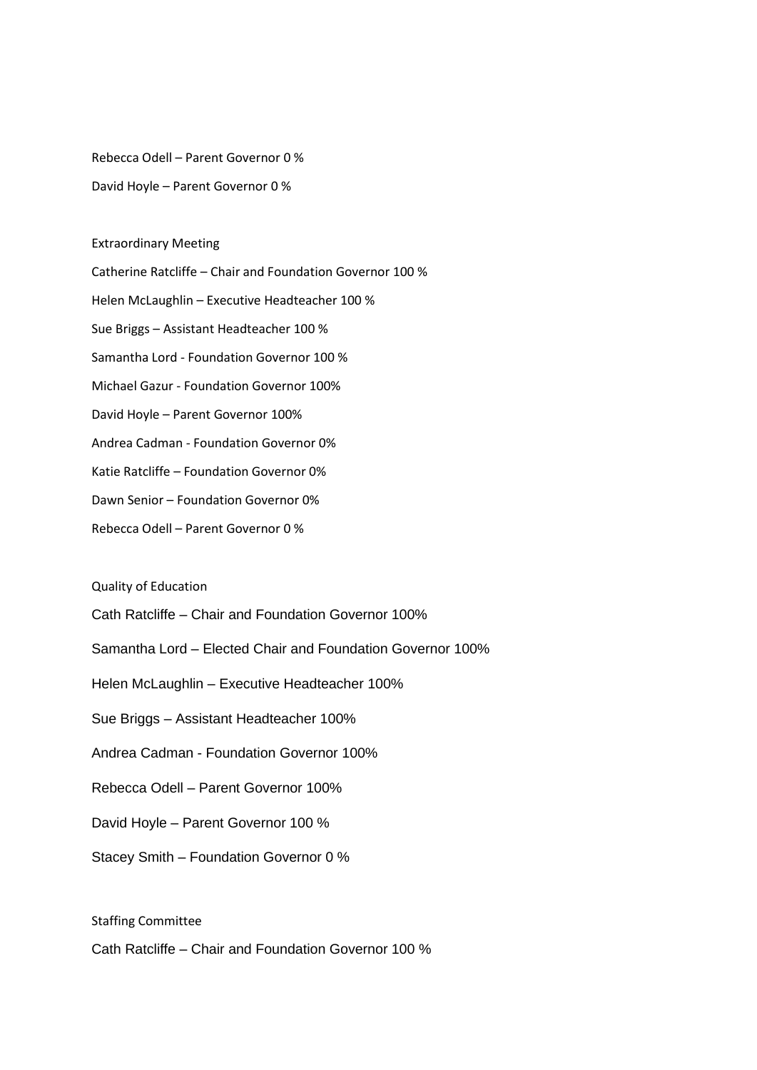Rebecca Odell – Parent Governor 0 %

David Hoyle – Parent Governor 0 %

## Extraordinary Meeting

Catherine Ratcliffe – Chair and Foundation Governor 100 % Helen McLaughlin – Executive Headteacher 100 % Sue Briggs – Assistant Headteacher 100 % Samantha Lord - Foundation Governor 100 % Michael Gazur - Foundation Governor 100% David Hoyle – Parent Governor 100% Andrea Cadman - Foundation Governor 0% Katie Ratcliffe – Foundation Governor 0% Dawn Senior – Foundation Governor 0% Rebecca Odell – Parent Governor 0 %

Quality of Education

Cath Ratcliffe – Chair and Foundation Governor 100%

Samantha Lord – Elected Chair and Foundation Governor 100%

Helen McLaughlin – Executive Headteacher 100%

Sue Briggs – Assistant Headteacher 100%

Andrea Cadman - Foundation Governor 100%

Rebecca Odell – Parent Governor 100%

David Hoyle – Parent Governor 100 %

Stacey Smith – Foundation Governor 0 %

Staffing Committee

Cath Ratcliffe – Chair and Foundation Governor 100 %